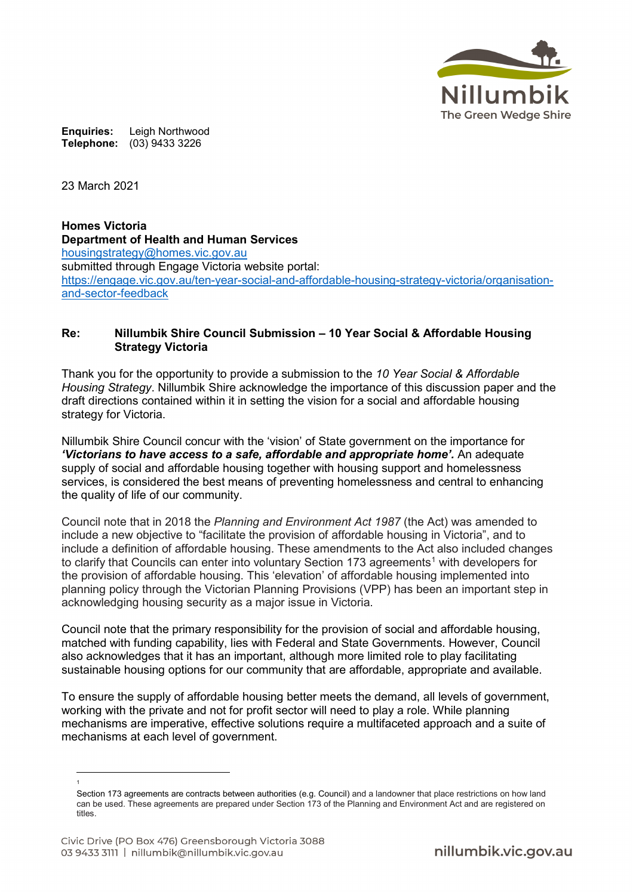

**Enquiries:** Leigh Northwood **Telephone:** (03) 9433 3226

23 March 2021

**Homes Victoria Department of Health and Human Services** [housingstrategy@homes.vic.gov.au](mailto:housingstrategy@homes.vic.gov.au) submitted through Engage Victoria website portal: [https://engage.vic.gov.au/ten-year-social-and-affordable-housing-strategy-victoria/organisation](https://engage.vic.gov.au/ten-year-social-and-affordable-housing-strategy-victoria/organisation-and-sector-feedback)[and-sector-feedback](https://engage.vic.gov.au/ten-year-social-and-affordable-housing-strategy-victoria/organisation-and-sector-feedback)

### **Re: Nillumbik Shire Council Submission – 10 Year Social & Affordable Housing Strategy Victoria**

Thank you for the opportunity to provide a submission to the *10 Year Social & Affordable Housing Strategy*. Nillumbik Shire acknowledge the importance of this discussion paper and the draft directions contained within it in setting the vision for a social and affordable housing strategy for Victoria.

Nillumbik Shire Council concur with the 'vision' of State government on the importance for *'Victorians to have access to a safe, affordable and appropriate home'.* An adequate supply of social and affordable housing together with housing support and homelessness services, is considered the best means of preventing homelessness and central to enhancing the quality of life of our community.

Council note that in 2018 the *Planning and Environment Act 1987* (the Act) was amended to include a new objective to "facilitate the provision of affordable housing in Victoria", and to include a definition of affordable housing. These amendments to the Act also included changes to clarify that Councils can enter into voluntary Section [1](#page-0-0)73 agreements<sup>1</sup> with developers for the provision of affordable housing. This 'elevation' of affordable housing implemented into planning policy through the Victorian Planning Provisions (VPP) has been an important step in acknowledging housing security as a major issue in Victoria.

Council note that the primary responsibility for the provision of social and affordable housing, matched with funding capability, lies with Federal and State Governments. However, Council also acknowledges that it has an important, although more limited role to play facilitating sustainable housing options for our community that are affordable, appropriate and available.

To ensure the supply of affordable housing better meets the demand, all levels of government, working with the private and not for profit sector will need to play a role. While planning mechanisms are imperative, effective solutions require a multifaceted approach and a suite of mechanisms at each level of government.

 $\overline{a}$ 1

<span id="page-0-0"></span>Section 173 agreements are contracts between authorities (e.g. Council) and a landowner that place restrictions on how land can be used. These agreements are prepared under Section 173 of the Planning and Environment Act and are registered on titles.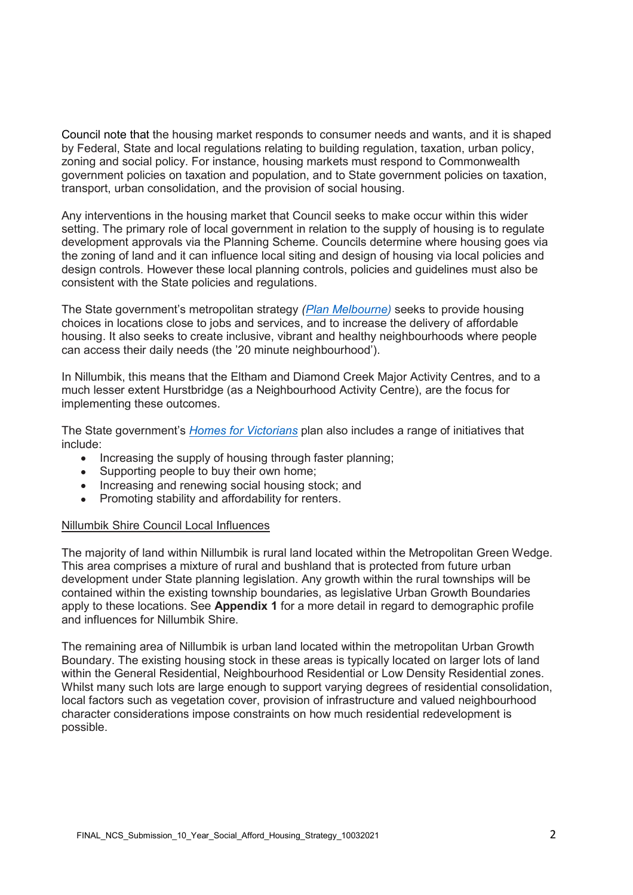Council note that the housing market responds to consumer needs and wants, and it is shaped by Federal, State and local regulations relating to building regulation, taxation, urban policy, zoning and social policy. For instance, housing markets must respond to Commonwealth government policies on taxation and population, and to State government policies on taxation, transport, urban consolidation, and the provision of social housing.

Any interventions in the housing market that Council seeks to make occur within this wider setting. The primary role of local government in relation to the supply of housing is to regulate development approvals via the Planning Scheme. Councils determine where housing goes via the zoning of land and it can influence local siting and design of housing via local policies and design controls. However these local planning controls, policies and guidelines must also be consistent with the State policies and regulations.

The State government's metropolitan strategy *[\(Plan Melbourne\)](https://www.planmelbourne.vic.gov.au/)* seeks to provide housing choices in locations close to jobs and services, and to increase the delivery of affordable housing. It also seeks to create inclusive, vibrant and healthy neighbourhoods where people can access their daily needs (the '20 minute neighbourhood').

In Nillumbik, this means that the Eltham and Diamond Creek Major Activity Centres, and to a much lesser extent Hurstbridge (as a Neighbourhood Activity Centre), are the focus for implementing these outcomes.

The State government's *[Homes for Victorians](https://www.housing.vic.gov.au/homes-victorians)* plan also includes a range of initiatives that include:

- Increasing the supply of housing through faster planning;
- Supporting people to buy their own home;
- Increasing and renewing social housing stock; and
- Promoting stability and affordability for renters.

#### Nillumbik Shire Council Local Influences

The majority of land within Nillumbik is rural land located within the Metropolitan Green Wedge. This area comprises a mixture of rural and bushland that is protected from future urban development under State planning legislation. Any growth within the rural townships will be contained within the existing township boundaries, as legislative Urban Growth Boundaries apply to these locations. See **Appendix 1** for a more detail in regard to demographic profile and influences for Nillumbik Shire.

The remaining area of Nillumbik is urban land located within the metropolitan Urban Growth Boundary. The existing housing stock in these areas is typically located on larger lots of land within the General Residential, Neighbourhood Residential or Low Density Residential zones. Whilst many such lots are large enough to support varying degrees of residential consolidation, local factors such as vegetation cover, provision of infrastructure and valued neighbourhood character considerations impose constraints on how much residential redevelopment is possible.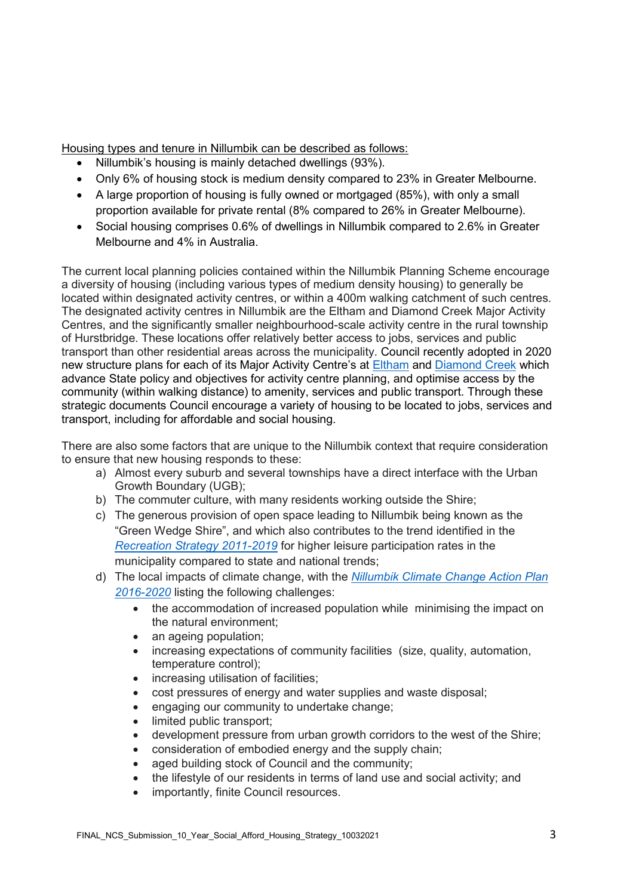Housing types and tenure in Nillumbik can be described as follows:

- Nillumbik's housing is mainly detached dwellings (93%).
- Only 6% of housing stock is medium density compared to 23% in Greater Melbourne.
- A large proportion of housing is fully owned or mortgaged (85%), with only a small proportion available for private rental (8% compared to 26% in Greater Melbourne).
- Social housing comprises 0.6% of dwellings in Nillumbik compared to 2.6% in Greater Melbourne and 4% in Australia.

The current local planning policies contained within the Nillumbik Planning Scheme encourage a diversity of housing (including various types of medium density housing) to generally be located within designated activity centres, or within a 400m walking catchment of such centres. The designated activity centres in Nillumbik are the Eltham and Diamond Creek Major Activity Centres, and the significantly smaller neighbourhood-scale activity centre in the rural township of Hurstbridge. These locations offer relatively better access to jobs, services and public transport than other residential areas across the municipality. Council recently adopted in 2020 new structure plans for each of its Major Activity Centre's at [Eltham](https://www.nillumbik.vic.gov.au/files/assets/public/planning-matters/townships/eltham/eltham-mac/eltham-major-activity-centre-structure-plan-july-2020.pdf) and [Diamond Creek](https://www.nillumbik.vic.gov.au/files/assets/public/planning-matters/townships/diamond-creek/dc-town-centre/diamond-creek-activity-centre-final-structure-plan.pdf) which advance State policy and objectives for activity centre planning, and optimise access by the community (within walking distance) to amenity, services and public transport. Through these strategic documents Council encourage a variety of housing to be located to jobs, services and transport, including for affordable and social housing.

There are also some factors that are unique to the Nillumbik context that require consideration to ensure that new housing responds to these:

- a) Almost every suburb and several townships have a direct interface with the Urban Growth Boundary (UGB);
- b) The commuter culture, with many residents working outside the Shire;
- c) The generous provision of open space leading to Nillumbik being known as the "Green Wedge Shire", and which also contributes to the trend identified in the *[Recreation Strategy 2011-2019](https://www.nillumbik.vic.gov.au/files/assets/public/council/council-publications/strategies-etc/recreation_strategy_2011-2019.pdf)* for higher leisure participation rates in the municipality compared to state and national trends;
- d) The local impacts of climate change, with the *[Nillumbik Climate Change Action Plan](https://www.nillumbik.vic.gov.au/Council/Council-news-and-publications/Strategies-policies-plans-and-legislation)  [2016-2020](https://www.nillumbik.vic.gov.au/Council/Council-news-and-publications/Strategies-policies-plans-and-legislation)* listing the following challenges:
	- the accommodation of increased population while minimising the impact on the natural environment;
	- an ageing population;
	- increasing expectations of community facilities (size, quality, automation, temperature control);
	- increasing utilisation of facilities;
	- cost pressures of energy and water supplies and waste disposal;
	- engaging our community to undertake change;
	- limited public transport;
	- development pressure from urban growth corridors to the west of the Shire;
	- consideration of embodied energy and the supply chain;
	- aged building stock of Council and the community:
	- the lifestyle of our residents in terms of land use and social activity; and
	- importantly, finite Council resources.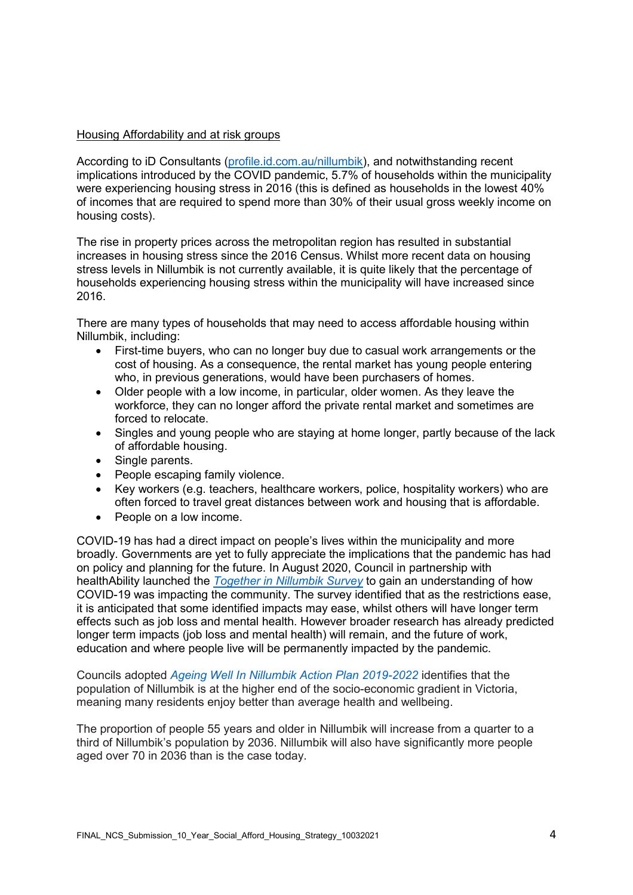### Housing Affordability and at risk groups

According to iD Consultants [\(profile.id.com.au/nillumbik\)](https://profile.id.com.au/nillumbik), and notwithstanding recent implications introduced by the COVID pandemic, 5.7% of households within the municipality were experiencing housing stress in 2016 (this is defined as households in the lowest 40% of incomes that are required to spend more than 30% of their usual gross weekly income on housing costs).

The rise in property prices across the metropolitan region has resulted in substantial increases in housing stress since the 2016 Census. Whilst more recent data on housing stress levels in Nillumbik is not currently available, it is quite likely that the percentage of households experiencing housing stress within the municipality will have increased since 2016.

There are many types of households that may need to access affordable housing within Nillumbik, including:

- First-time buyers, who can no longer buy due to casual work arrangements or the cost of housing. As a consequence, the rental market has young people entering who, in previous generations, would have been purchasers of homes.
- Older people with a low income, in particular, older women. As they leave the workforce, they can no longer afford the private rental market and sometimes are forced to relocate.
- Singles and young people who are staying at home longer, partly because of the lack of affordable housing.
- Single parents.
- People escaping family violence.
- Key workers (e.g. teachers, healthcare workers, police, hospitality workers) who are often forced to travel great distances between work and housing that is affordable.
- People on a low income.

COVID-19 has had a direct impact on people's lives within the municipality and more broadly. Governments are yet to fully appreciate the implications that the pandemic has had on policy and planning for the future. In August 2020, Council in partnership with healthAbility launched the *[Together in Nillumbik Survey](https://www.nillumbik.vic.gov.au/People-and-family/Community/Together-in-Nillumbik-Councils-COVID-recovery-plan)* to gain an understanding of how COVID-19 was impacting the community. The survey identified that as the restrictions ease, it is anticipated that some identified impacts may ease, whilst others will have longer term effects such as job loss and mental health. However broader research has already predicted longer term impacts (job loss and mental health) will remain, and the future of work, education and where people live will be permanently impacted by the pandemic.

Councils adopted *[Ageing Well In Nillumbik Action Plan 2019-2022](https://www.nillumbik.vic.gov.au/files/assets/public/people-and-family/over-55s/ageing-well-in-nillumbik-action-plan-2019-2022.pdf)* identifies that the population of Nillumbik is at the higher end of the socio-economic gradient in Victoria, meaning many residents enjoy better than average health and wellbeing.

The proportion of people 55 years and older in Nillumbik will increase from a quarter to a third of Nillumbik's population by 2036. Nillumbik will also have significantly more people aged over 70 in 2036 than is the case today.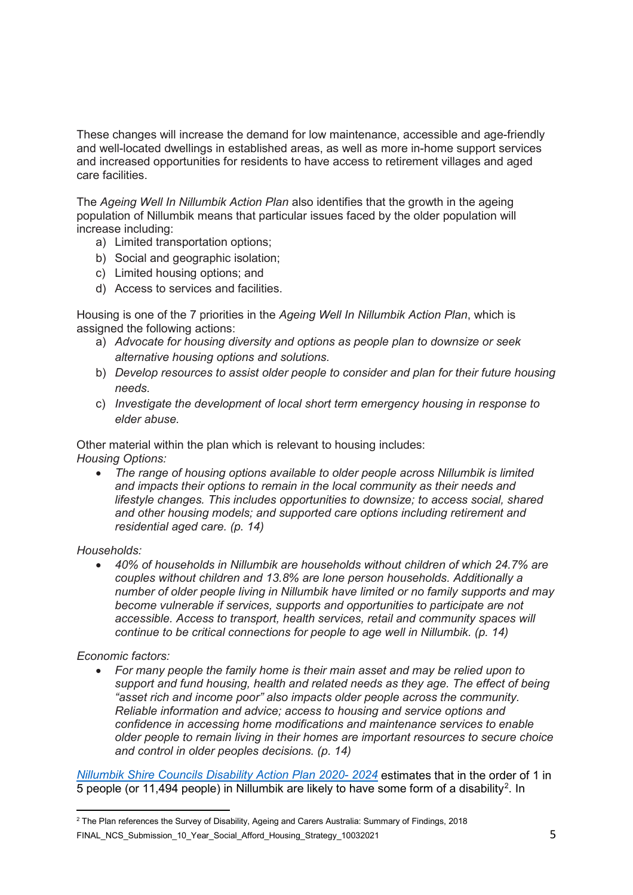These changes will increase the demand for low maintenance, accessible and age-friendly and well-located dwellings in established areas, as well as more in-home support services and increased opportunities for residents to have access to retirement villages and aged care facilities.

The *Ageing Well In Nillumbik Action Plan* also identifies that the growth in the ageing population of Nillumbik means that particular issues faced by the older population will increase including:

- a) Limited transportation options;
- b) Social and geographic isolation;
- c) Limited housing options; and
- d) Access to services and facilities.

Housing is one of the 7 priorities in the *Ageing Well In Nillumbik Action Plan*, which is assigned the following actions:

- a) *Advocate for housing diversity and options as people plan to downsize or seek alternative housing options and solutions.*
- b) *Develop resources to assist older people to consider and plan for their future housing needs.*
- c) *Investigate the development of local short term emergency housing in response to elder abuse.*

Other material within the plan which is relevant to housing includes: *Housing Options:*

• *The range of housing options available to older people across Nillumbik is limited and impacts their options to remain in the local community as their needs and lifestyle changes. This includes opportunities to downsize; to access social, shared and other housing models; and supported care options including retirement and residential aged care. (p. 14)* 

#### *Households:*

• *40% of households in Nillumbik are households without children of which 24.7% are couples without children and 13.8% are lone person households. Additionally a number of older people living in Nillumbik have limited or no family supports and may become vulnerable if services, supports and opportunities to participate are not accessible. Access to transport, health services, retail and community spaces will continue to be critical connections for people to age well in Nillumbik. (p. 14)* 

#### *Economic factors:*

• *For many people the family home is their main asset and may be relied upon to support and fund housing, health and related needs as they age. The effect of being "asset rich and income poor" also impacts older people across the community. Reliable information and advice; access to housing and service options and confidence in accessing home modifications and maintenance services to enable older people to remain living in their homes are important resources to secure choice and control in older peoples decisions. (p. 14)* 

*[Nillumbik Shire Councils Disability Action Plan 2020-](https://www.nillumbik.vic.gov.au/files/assets/public/people-and-family/nillumbik_disability-action-plan_proof.pdf) 2024* estimates that in the order of 1 in 5 people (or 11,494 people) in Nillumbik are likely to have some form of a disability<sup>[2](#page-4-0)</sup>. In

<span id="page-4-0"></span>FINAL\_NCS\_Submission\_10\_Year\_Social\_Afford\_Housing\_Strategy\_10032021 5  $\overline{a}$  $^2$  The Plan references the Survey of Disability, Ageing and Carers Australia: Summary of Findings, 2018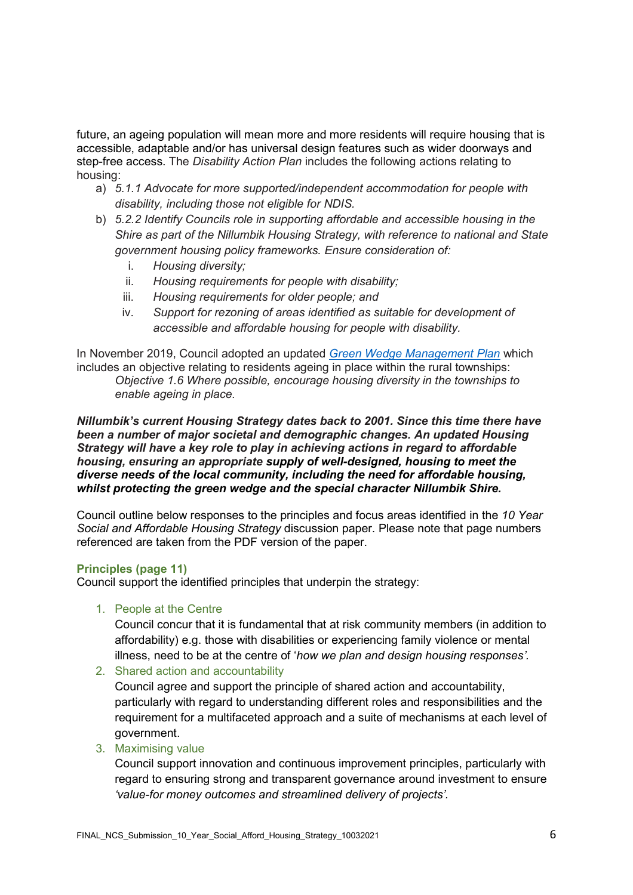future, an ageing population will mean more and more residents will require housing that is accessible, adaptable and/or has universal design features such as wider doorways and step-free access. The *Disability Action Plan* includes the following actions relating to housing:

- a) *5.1.1 Advocate for more supported/independent accommodation for people with disability, including those not eligible for NDIS.*
- b) *5.2.2 Identify Councils role in supporting affordable and accessible housing in the Shire as part of the Nillumbik Housing Strategy, with reference to national and State government housing policy frameworks. Ensure consideration of:*
	- i. *Housing diversity;*
	- ii. *Housing requirements for people with disability;*
	- iii. *Housing requirements for older people; and*
	- iv. *Support for rezoning of areas identified as suitable for development of accessible and affordable housing for people with disability.*

In November 2019, Council adopted an updated *[Green Wedge Management Plan](https://www.nillumbik.vic.gov.au/files/assets/public/council/council-publications/strategies-etc/green-wedge-management-plan-november-2019-web.pdf)* which includes an objective relating to residents ageing in place within the rural townships: *Objective 1.6 Where possible, encourage housing diversity in the townships to* 

*enable ageing in place.*

*Nillumbik's current Housing Strategy dates back to 2001. Since this time there have been a number of major societal and demographic changes. An updated Housing Strategy will have a key role to play in achieving actions in regard to affordable housing, ensuring an appropriate supply of well-designed, housing to meet the diverse needs of the local community, including the need for affordable housing, whilst protecting the green wedge and the special character Nillumbik Shire.*

Council outline below responses to the principles and focus areas identified in the *10 Year Social and Affordable Housing Strategy* discussion paper. Please note that page numbers referenced are taken from the PDF version of the paper.

#### **Principles (page 11)**

Council support the identified principles that underpin the strategy:

1. People at the Centre

Council concur that it is fundamental that at risk community members (in addition to affordability) e.g. those with disabilities or experiencing family violence or mental illness, need to be at the centre of '*how we plan and design housing responses'.* 

2. Shared action and accountability

Council agree and support the principle of shared action and accountability, particularly with regard to understanding different roles and responsibilities and the requirement for a multifaceted approach and a suite of mechanisms at each level of government.

3. Maximising value

Council support innovation and continuous improvement principles, particularly with regard to ensuring strong and transparent governance around investment to ensure *'value-for money outcomes and streamlined delivery of projects'.*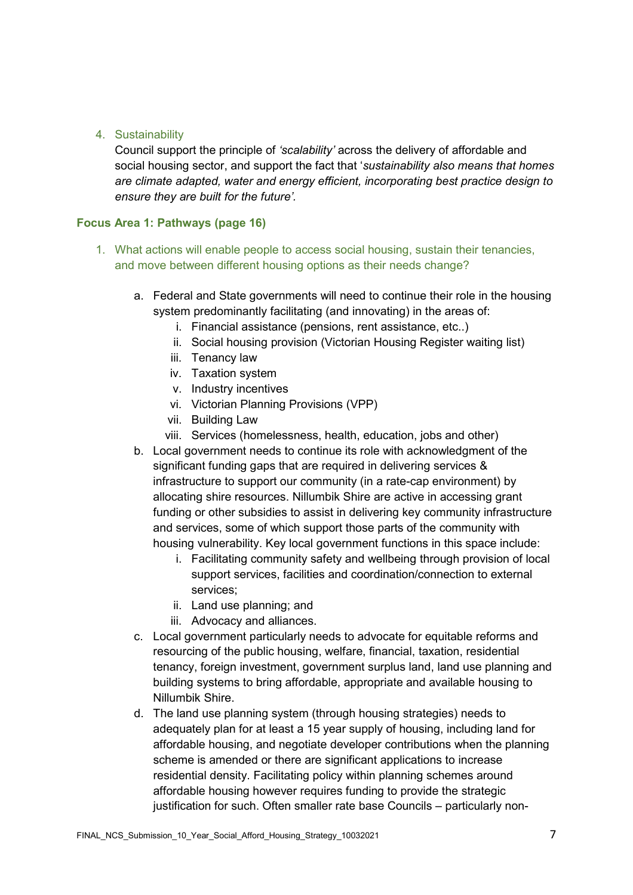# 4. Sustainability

Council support the principle of *'scalability'* across the delivery of affordable and social housing sector, and support the fact that '*sustainability also means that homes are climate adapted, water and energy efficient, incorporating best practice design to ensure they are built for the future'.*

# **Focus Area 1: Pathways (page 16)**

- 1. What actions will enable people to access social housing, sustain their tenancies, and move between different housing options as their needs change?
	- a. Federal and State governments will need to continue their role in the housing system predominantly facilitating (and innovating) in the areas of:
		- i. Financial assistance (pensions, rent assistance, etc..)
		- ii. Social housing provision (Victorian Housing Register waiting list)
		- iii. Tenancy law
		- iv. Taxation system
		- v. Industry incentives
		- vi. Victorian Planning Provisions (VPP)
		- vii. Building Law
		- viii. Services (homelessness, health, education, jobs and other)
	- b. Local government needs to continue its role with acknowledgment of the significant funding gaps that are required in delivering services & infrastructure to support our community (in a rate-cap environment) by allocating shire resources. Nillumbik Shire are active in accessing grant funding or other subsidies to assist in delivering key community infrastructure and services, some of which support those parts of the community with housing vulnerability. Key local government functions in this space include:
		- i. Facilitating community safety and wellbeing through provision of local support services, facilities and coordination/connection to external services;
		- ii. Land use planning; and
		- iii. Advocacy and alliances.
	- c. Local government particularly needs to advocate for equitable reforms and resourcing of the public housing, welfare, financial, taxation, residential tenancy, foreign investment, government surplus land, land use planning and building systems to bring affordable, appropriate and available housing to Nillumbik Shire.
	- d. The land use planning system (through housing strategies) needs to adequately plan for at least a 15 year supply of housing, including land for affordable housing, and negotiate developer contributions when the planning scheme is amended or there are significant applications to increase residential density. Facilitating policy within planning schemes around affordable housing however requires funding to provide the strategic justification for such. Often smaller rate base Councils – particularly non-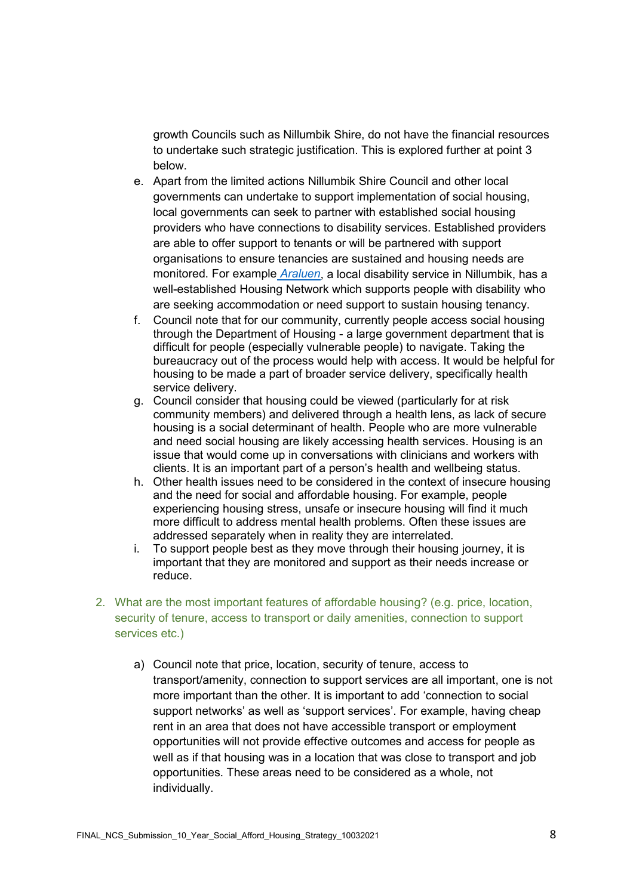growth Councils such as Nillumbik Shire, do not have the financial resources to undertake such strategic justification. This is explored further at point 3 below.

- e. Apart from the limited actions Nillumbik Shire Council and other local governments can undertake to support implementation of social housing, local governments can seek to partner with established social housing providers who have connections to disability services. Established providers are able to offer support to tenants or will be partnered with support organisations to ensure tenancies are sustained and housing needs are monitored. For example *[Araluen](https://www.araluen.org/)*, a local disability service in Nillumbik, has a well-established Housing Network which supports people with disability who are seeking accommodation or need support to sustain housing tenancy.
- f. Council note that for our community, currently people access social housing through the Department of Housing - a large government department that is difficult for people (especially vulnerable people) to navigate. Taking the bureaucracy out of the process would help with access. It would be helpful for housing to be made a part of broader service delivery, specifically health service delivery.
- g. Council consider that housing could be viewed (particularly for at risk community members) and delivered through a health lens, as lack of secure housing is a social determinant of health. People who are more vulnerable and need social housing are likely accessing health services. Housing is an issue that would come up in conversations with clinicians and workers with clients. It is an important part of a person's health and wellbeing status.
- h. Other health issues need to be considered in the context of insecure housing and the need for social and affordable housing. For example, people experiencing housing stress, unsafe or insecure housing will find it much more difficult to address mental health problems. Often these issues are addressed separately when in reality they are interrelated.
- i. To support people best as they move through their housing journey, it is important that they are monitored and support as their needs increase or reduce.
- 2. What are the most important features of affordable housing? (e.g. price, location, security of tenure, access to transport or daily amenities, connection to support services etc.)
	- a) Council note that price, location, security of tenure, access to transport/amenity, connection to support services are all important, one is not more important than the other. It is important to add 'connection to social support networks' as well as 'support services'. For example, having cheap rent in an area that does not have accessible transport or employment opportunities will not provide effective outcomes and access for people as well as if that housing was in a location that was close to transport and job opportunities. These areas need to be considered as a whole, not individually.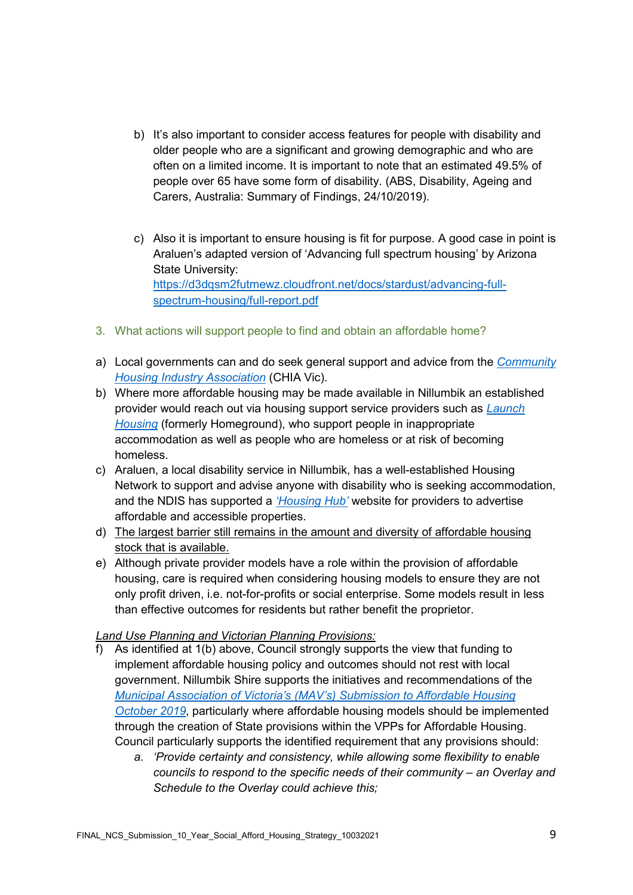- b) It's also important to consider access features for people with disability and older people who are a significant and growing demographic and who are often on a limited income. It is important to note that an estimated 49.5% of people over 65 have some form of disability. (ABS, Disability, Ageing and Carers, Australia: Summary of Findings, 24/10/2019).
- c) Also it is important to ensure housing is fit for purpose. A good case in point is Araluen's adapted version of 'Advancing full spectrum housing' by Arizona State University: [https://d3dqsm2futmewz.cloudfront.net/docs/stardust/advancing-full](https://d3dqsm2futmewz.cloudfront.net/docs/stardust/advancing-full-spectrum-housing/full-report.pdf)[spectrum-housing/full-report.pdf](https://d3dqsm2futmewz.cloudfront.net/docs/stardust/advancing-full-spectrum-housing/full-report.pdf)
- 3. What actions will support people to find and obtain an affordable home?
- a) Local governments can and do seek general support and advice from the *[Community](https://chiavic.com.au/)  [Housing Industry Association](https://chiavic.com.au/)* (CHIA Vic).
- b) Where more affordable housing may be made available in Nillumbik an established provider would reach out via housing support service providers such as *[Launch](https://www.launchhousing.org.au/)  [Housing](https://www.launchhousing.org.au/)* (formerly Homeground), who support people in inappropriate accommodation as well as people who are homeless or at risk of becoming homeless.
- c) Araluen, a local disability service in Nillumbik, has a well-established Housing Network to support and advise anyone with disability who is seeking accommodation, and the NDIS has supported a *['Housing Hub'](https://www.housinghub.org.au/)* website for providers to advertise affordable and accessible properties.
- d) The largest barrier still remains in the amount and diversity of affordable housing stock that is available.
- e) Although private provider models have a role within the provision of affordable housing, care is required when considering housing models to ensure they are not only profit driven, i.e. not-for-profits or social enterprise. Some models result in less than effective outcomes for residents but rather benefit the proprietor.

# *Land Use Planning and Victorian Planning Provisions:*

- f) As identified at 1(b) above, Council strongly supports the view that funding to implement affordable housing policy and outcomes should not rest with local government. Nillumbik Shire supports the initiatives and recommendations of the *[Municipal Association of Victoria's \(MAV's\) Submission to Affordable Housing](https://www.mav.asn.au/__data/assets/pdf_file/0005/23846/Submission-to-MAC-on-Planning-Mechanisms-for-Affordable-Housing.pdf)  [October 2019](https://www.mav.asn.au/__data/assets/pdf_file/0005/23846/Submission-to-MAC-on-Planning-Mechanisms-for-Affordable-Housing.pdf)*, particularly where affordable housing models should be implemented through the creation of State provisions within the VPPs for Affordable Housing. Council particularly supports the identified requirement that any provisions should:
	- *a. 'Provide certainty and consistency, while allowing some flexibility to enable councils to respond to the specific needs of their community – an Overlay and Schedule to the Overlay could achieve this;*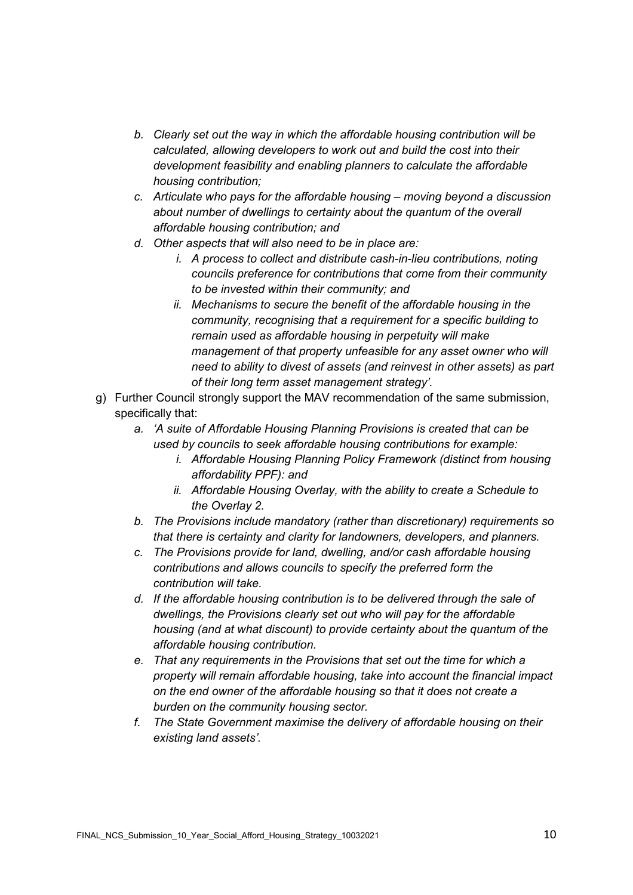- *b. Clearly set out the way in which the affordable housing contribution will be calculated, allowing developers to work out and build the cost into their development feasibility and enabling planners to calculate the affordable housing contribution;*
- *c. Articulate who pays for the affordable housing – moving beyond a discussion about number of dwellings to certainty about the quantum of the overall affordable housing contribution; and*
- *d. Other aspects that will also need to be in place are:*
	- *i. A process to collect and distribute cash-in-lieu contributions, noting councils preference for contributions that come from their community to be invested within their community; and*
	- *ii. Mechanisms to secure the benefit of the affordable housing in the community, recognising that a requirement for a specific building to remain used as affordable housing in perpetuity will make management of that property unfeasible for any asset owner who will need to ability to divest of assets (and reinvest in other assets) as part of their long term asset management strategy'.*
- g) Further Council strongly support the MAV recommendation of the same submission, specifically that:
	- *a. 'A suite of Affordable Housing Planning Provisions is created that can be used by councils to seek affordable housing contributions for example:*
		- *i. Affordable Housing Planning Policy Framework (distinct from housing affordability PPF): and*
		- *ii. Affordable Housing Overlay, with the ability to create a Schedule to the Overlay 2.*
	- *b. The Provisions include mandatory (rather than discretionary) requirements so that there is certainty and clarity for landowners, developers, and planners.*
	- *c. The Provisions provide for land, dwelling, and/or cash affordable housing contributions and allows councils to specify the preferred form the contribution will take.*
	- *d. If the affordable housing contribution is to be delivered through the sale of dwellings, the Provisions clearly set out who will pay for the affordable housing (and at what discount) to provide certainty about the quantum of the affordable housing contribution.*
	- *e. That any requirements in the Provisions that set out the time for which a property will remain affordable housing, take into account the financial impact on the end owner of the affordable housing so that it does not create a burden on the community housing sector.*
	- *f. The State Government maximise the delivery of affordable housing on their existing land assets'.*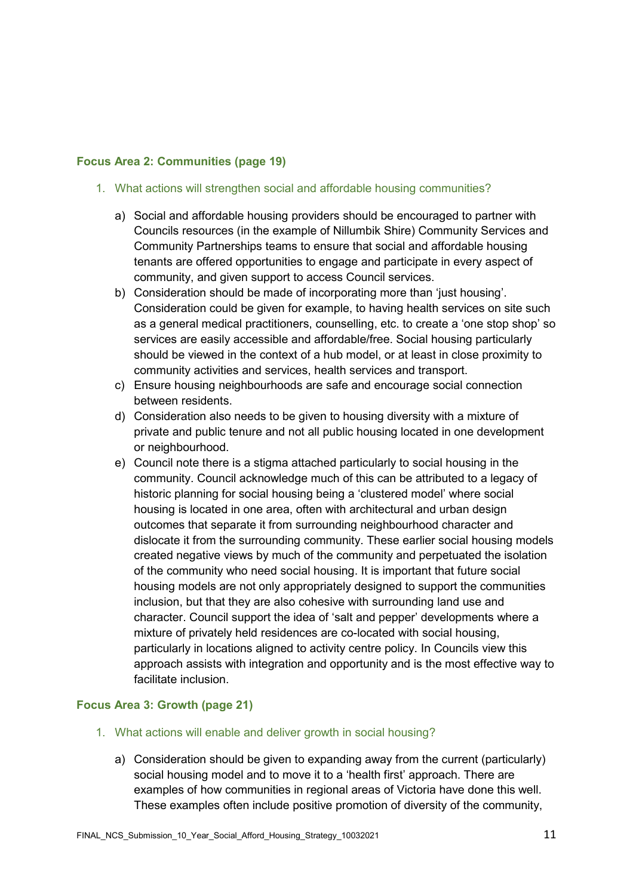# **Focus Area 2: Communities (page 19)**

- 1. What actions will strengthen social and affordable housing communities?
	- a) Social and affordable housing providers should be encouraged to partner with Councils resources (in the example of Nillumbik Shire) Community Services and Community Partnerships teams to ensure that social and affordable housing tenants are offered opportunities to engage and participate in every aspect of community, and given support to access Council services.
	- b) Consideration should be made of incorporating more than 'just housing'. Consideration could be given for example, to having health services on site such as a general medical practitioners, counselling, etc. to create a 'one stop shop' so services are easily accessible and affordable/free. Social housing particularly should be viewed in the context of a hub model, or at least in close proximity to community activities and services, health services and transport.
	- c) Ensure housing neighbourhoods are safe and encourage social connection between residents.
	- d) Consideration also needs to be given to housing diversity with a mixture of private and public tenure and not all public housing located in one development or neighbourhood.
	- e) Council note there is a stigma attached particularly to social housing in the community. Council acknowledge much of this can be attributed to a legacy of historic planning for social housing being a 'clustered model' where social housing is located in one area, often with architectural and urban design outcomes that separate it from surrounding neighbourhood character and dislocate it from the surrounding community. These earlier social housing models created negative views by much of the community and perpetuated the isolation of the community who need social housing. It is important that future social housing models are not only appropriately designed to support the communities inclusion, but that they are also cohesive with surrounding land use and character. Council support the idea of 'salt and pepper' developments where a mixture of privately held residences are co-located with social housing, particularly in locations aligned to activity centre policy. In Councils view this approach assists with integration and opportunity and is the most effective way to facilitate inclusion.

### **Focus Area 3: Growth (page 21)**

- 1. What actions will enable and deliver growth in social housing?
	- a) Consideration should be given to expanding away from the current (particularly) social housing model and to move it to a 'health first' approach. There are examples of how communities in regional areas of Victoria have done this well. These examples often include positive promotion of diversity of the community,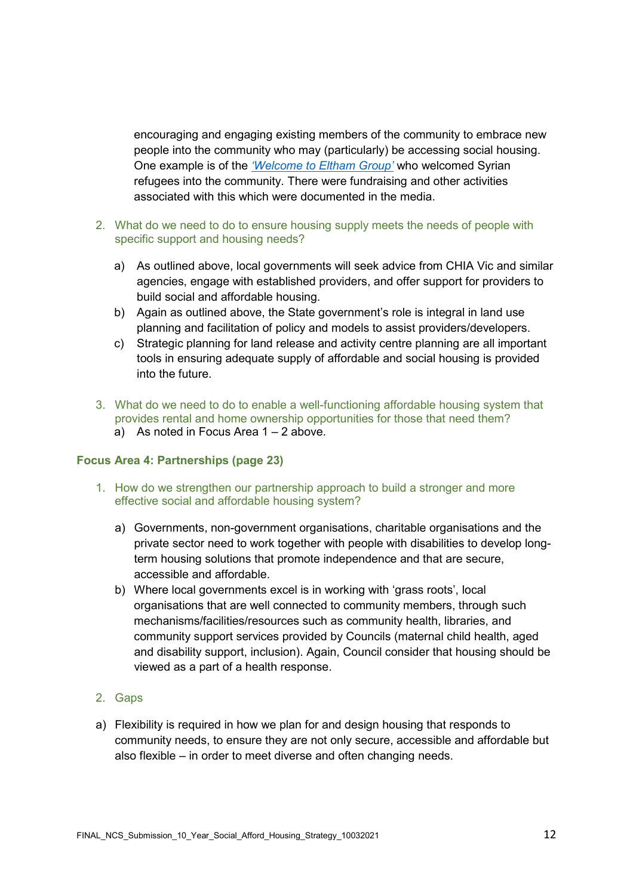encouraging and engaging existing members of the community to embrace new people into the community who may (particularly) be accessing social housing. One example is of the *['Welcome to Eltham Group'](https://www.nillumbik.vic.gov.au/Living-in/Community-Directory/Welcome-to-Eltham-Inc)* who welcomed Syrian refugees into the community. There were fundraising and other activities associated with this which were documented in the media.

- 2. What do we need to do to ensure housing supply meets the needs of people with specific support and housing needs?
	- a) As outlined above, local governments will seek advice from CHIA Vic and similar agencies, engage with established providers, and offer support for providers to build social and affordable housing.
	- b) Again as outlined above, the State government's role is integral in land use planning and facilitation of policy and models to assist providers/developers.
	- c) Strategic planning for land release and activity centre planning are all important tools in ensuring adequate supply of affordable and social housing is provided into the future.
- 3. What do we need to do to enable a well-functioning affordable housing system that provides rental and home ownership opportunities for those that need them? a) As noted in Focus Area  $1 - 2$  above.
- 

# **Focus Area 4: Partnerships (page 23)**

- 1. How do we strengthen our partnership approach to build a stronger and more effective social and affordable housing system?
	- a) Governments, non-government organisations, charitable organisations and the private sector need to work together with people with disabilities to develop longterm housing solutions that promote independence and that are secure, accessible and affordable.
	- b) Where local governments excel is in working with 'grass roots', local organisations that are well connected to community members, through such mechanisms/facilities/resources such as community health, libraries, and community support services provided by Councils (maternal child health, aged and disability support, inclusion). Again, Council consider that housing should be viewed as a part of a health response.
- 2. Gaps
- a) Flexibility is required in how we plan for and design housing that responds to community needs, to ensure they are not only secure, accessible and affordable but also flexible – in order to meet diverse and often changing needs.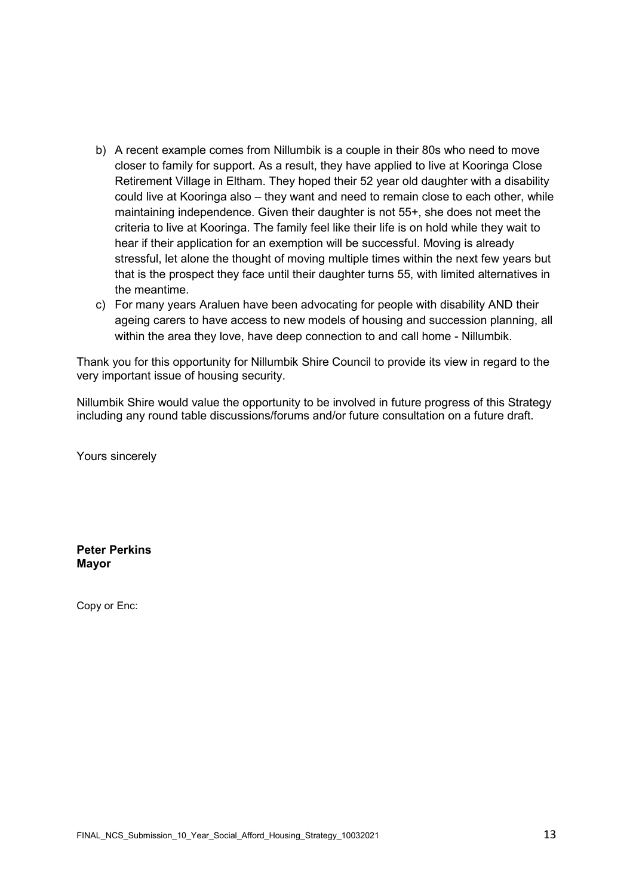- b) A recent example comes from Nillumbik is a couple in their 80s who need to move closer to family for support. As a result, they have applied to live at Kooringa Close Retirement Village in Eltham. They hoped their 52 year old daughter with a disability could live at Kooringa also – they want and need to remain close to each other, while maintaining independence. Given their daughter is not 55+, she does not meet the criteria to live at Kooringa. The family feel like their life is on hold while they wait to hear if their application for an exemption will be successful. Moving is already stressful, let alone the thought of moving multiple times within the next few years but that is the prospect they face until their daughter turns 55, with limited alternatives in the meantime.
- c) For many years Araluen have been advocating for people with disability AND their ageing carers to have access to new models of housing and succession planning, all within the area they love, have deep connection to and call home - Nillumbik.

Thank you for this opportunity for Nillumbik Shire Council to provide its view in regard to the very important issue of housing security.

Nillumbik Shire would value the opportunity to be involved in future progress of this Strategy including any round table discussions/forums and/or future consultation on a future draft.

Yours sincerely

**Peter Perkins Mayor**

Copy or Enc: